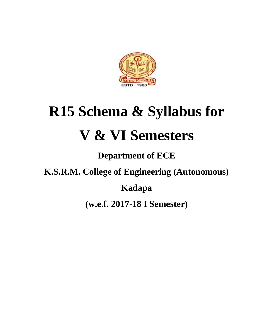

# **R15 Schema & Syllabus for V & VI Semesters**

# **Department of ECE**

**K.S.R.M. College of Engineering (Autonomous)** 

**Kadapa**

**(w.e.f. 2017-18 I Semester)**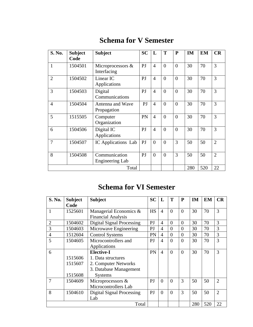# **Schema for V Semester**

| S. No.         | <b>Subject</b><br>Code | <b>Subject</b>                      | <b>SC</b>      | L              | T              | $\mathbf P$    | <b>IM</b> | <b>EM</b> | CR             |
|----------------|------------------------|-------------------------------------|----------------|----------------|----------------|----------------|-----------|-----------|----------------|
| $\mathbf{1}$   | 1504501                | Microprocessors $\&$<br>Interfacing | P <sub>J</sub> | $\overline{4}$ | $\theta$       | $\overline{0}$ | 30        | 70        | 3              |
| $\overline{2}$ | 1504502                | Linear IC<br>Applications           | PJ             | $\overline{4}$ | $\theta$       | $\theta$       | 30        | 70        | 3              |
| 3              | 1504503                | Digital<br>Communications           | P <sub>J</sub> | $\overline{4}$ | $\overline{0}$ | $\overline{0}$ | 30        | 70        | 3              |
| $\overline{4}$ | 1504504                | Antenna and Wave<br>Propagation     | PI             | $\overline{4}$ | $\theta$       | $\overline{0}$ | 30        | 70        | 3              |
| 5              | 1515505                | Computer<br>Organization            | PN             | $\overline{4}$ | $\theta$       | $\theta$       | 30        | 70        | 3              |
| 6              | 1504506                | Digital IC<br>Applications          | PJ             | $\overline{4}$ | $\theta$       | $\theta$       | 30        | 70        | 3              |
| 7              | 1504507                | IC Applications Lab                 | PJ             | $\theta$       | $\overline{0}$ | 3              | 50        | 50        | $\overline{2}$ |
| 8              | 1504508                | Communication<br>Engineering Lab    | PJ             | $\theta$       | $\theta$       | 3              | 50        | 50        | $\overline{2}$ |
|                |                        | Total                               |                |                |                |                | 280       | 520       | 22             |

# **Schema for VI Semester**

| S. No.         | <b>Subject</b> | <b>Subject</b>                   | <b>SC</b> | L              | T        | P              | IM  | <b>EM</b> | CR             |
|----------------|----------------|----------------------------------|-----------|----------------|----------|----------------|-----|-----------|----------------|
|                | Code           |                                  |           |                |          |                |     |           |                |
| $\mathbf{1}$   | 1525601        | Managerial Economics &           | <b>HS</b> | $\overline{4}$ | $\theta$ | $\theta$       | 30  | 70        | 3              |
|                |                | <b>Financial Analysis</b>        |           |                |          |                |     |           |                |
| $\overline{2}$ | 1504602        | <b>Digital Signal Processing</b> | PJ        | $\overline{4}$ | $\Omega$ | $\theta$       | 30  | 70        | 3              |
| 3              | 1504603        | Microwave Engineering            | PJ        | $\overline{4}$ | $\theta$ | $\overline{0}$ | 30  | 70        | 3              |
| $\overline{4}$ | 1512604        | <b>Control Systems</b>           | PN        | $\overline{4}$ | $\theta$ | $\overline{0}$ | 30  | 70        | 3              |
| 5              | 1504605        | Microcontrollers and             | PJ        | $\overline{4}$ | $\theta$ | $\theta$       | 30  | 70        | 3              |
|                |                | Applications                     |           |                |          |                |     |           |                |
| 6              |                | <b>Elective-I</b>                | PN        | $\overline{4}$ | $\theta$ | $\overline{0}$ | 30  | 70        | 3              |
|                | 1515606        | 1. Data structures               |           |                |          |                |     |           |                |
|                | 1515607        | 2. Computer Networks             |           |                |          |                |     |           |                |
|                |                | 3. Database Management           |           |                |          |                |     |           |                |
|                | 1515608        | <b>Systems</b>                   |           |                |          |                |     |           |                |
| $\overline{7}$ | 1504609        | Microprocessors &                | PJ        | $\theta$       | $\theta$ | 3              | 50  | 50        | $\overline{2}$ |
|                |                | Microcontrollers Lab             |           |                |          |                |     |           |                |
| 8              | 1504610        | Digital Signal Processing        | PJ        | $\overline{0}$ | $\Omega$ | 3              | 50  | 50        | $\overline{2}$ |
|                |                | Lab                              |           |                |          |                |     |           |                |
|                |                | Total                            |           |                |          |                | 280 | 520       | 22             |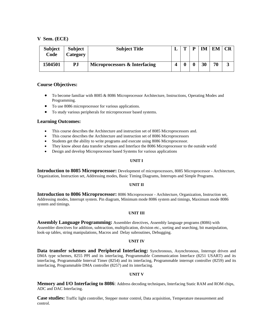| <b>Subject</b><br>Code | <b>Subject</b><br>Category | <b>Subject Title</b>          | m | D | IM | EM | <b>CR</b> |
|------------------------|----------------------------|-------------------------------|---|---|----|----|-----------|
| 1504501                | PJ                         | Microprocessors & Interfacing |   |   | 30 | 70 |           |

# **Course Objectives:**

- To become familiar with 8085 & 8086 Microprocessor Architecture, Instructions, Operating Modes and Programming.
- To use 8086 microprocessor for various applications.
- To study various peripherals for microprocessor based systems.

# **Learning Outcomes:**

- This course describes the Architecture and instruction set of 8085 Microprocessors and.
- This course describes the Architecture and instruction set of 8086 Microprocessors
- Students get the ability to write programs and execute using 8086 Microprocessor.
- They know about data transfer schemes and Interface the 8086 Microprocessor to the outside world
- Design and develop Microprocessor based Systems for various applications

#### **UNIT I**

**Introduction to 8085 Microprocessor:** Development of microprocessors, 8085 Microprocessor - Architecture, Organization, Instruction set, Addressing modes, Basic Timing Diagrams, Interrupts and Simple Programs.

#### **UNIT II**

**Introduction to 8086 Microprocessor:** 8086 Microprocessor - Architecture, Organization, Instruction set, Addressing modes, Interrupt system. Pin diagram, Minimum mode 8086 system and timings, Maximum mode 8086 system and timings.

#### **UNIT III**

**Assembly Language Programming:** Assembler directives, Assembly language programs (8086) with Assembler directives for addition, subtraction, multiplication, division etc., sorting and searching, bit manipulation, look-up tables, string manipulations, Macros and Delay subroutines, Debugging.

#### **UNIT IV**

**Data transfer schemes and Peripheral Interfacing:** Synchronous, Asynchronous, Interrupt driven and DMA type schemes, 8255 PPI and its interfacing, Programmable Communication Interface (8251 USART) and its interfacing, Programmable Interval Timer (8254) and its interfacing, Programmable interrupt controller (8259) and its interfacing, Programmable DMA controller (8257) and its interfacing.

#### **UNIT V**

**Memory and I/O Interfacing to 8086**: Address decoding techniques, Interfacing Static RAM and ROM chips, ADC and DAC Interfacing.

**Case studies:** Traffic light controller, Stepper motor control, Data acquisition, Temperature measurement and control.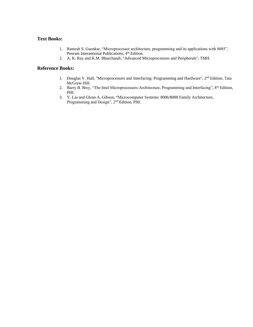# **Text Books:**

- 1. Ramesh S. Gaonkar, "Microprocessor architecture, programming and its applications with 8085", Penram Interantional Publications, 4<sup>th</sup> Edition.
- 2. A. K. Ray and K.M. Bhurchandi, "Advanced Microprocessors and Peripherals", TMH.

- 1. Douglas V. Hall, "Microprocessors and Interfacing: Programming and Hardware", 2<sup>nd</sup> Edition, Tata McGraw-Hill.
- 2. Barry B. Brey, "The Intel Microprocessors-Architecture, Programming and Interfacing", 8<sup>th</sup> Edition, PHI.
- 3. Y. Liu and Glenn A. Gibson, "Microcomputer Systems: 8086/8088 Family Architecture, Programming and Design", 2nd Edition, PHI.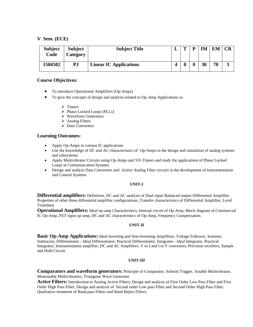| <b>Subject</b><br>Code | <b>Subject</b><br>Category | <b>Subject Title</b>          | m | IM | EM |   |
|------------------------|----------------------------|-------------------------------|---|----|----|---|
| 1504502                | PJ                         | <b>Linear IC Applications</b> |   | 30 | 70 | J |

# **Course Objectives:**

- To introduce Operational Amplifiers (Op-Amps)
- To give the concepts of design and analysis related to Op-Amp Applications as
	- ➢ Timers
	- ➢ Phase Locked Loops (PLLs)
	- ➢ Waveform Generators
	- ➢ Analog Filters
	- ➢ Data Converters

# **Learning Outcomes:**

- Apply Op-Amps in various IC applications
- Use the knowledge of DC and AC characteristics of Op-Amps in the design and simulation of analog systems and subsystems
- Apply Multivibrator Circuits using Op-Amps and 555 Timers and study the applications of Phase Locked Loops in Communication Systems
- Design and analyze Data Converters and Active Analog Filter circuits in the development of Instrumentation and Control Systems

#### **UNIT-I**

**Differential amplifiers:** Definition, DC and AC analysis of Dual input-Balanced output Differential Amplifier, Properties of other three differential amplifier configurations, Transfer characteristics of Differential Amplifier, Level Translator.

**Operational Amplifiers:** Ideal op-amp Characteristics, Internal circuit of Op-Amp, Block diagram of Commercial IC Op-Amp, FET input op-amp, DC and AC characteristics of Op-Amp, Frequency Compensation.

# **UNIT-II**

**Basic Op-Amp Applications:** Ideal Inverting and Non-Inverting Amplifiers, Voltage Follower, Summer, Subtractor, Differentiator - Ideal Differentiator, Practical Differentiator, Integrator - Ideal Integrator, Practical Integrator, Instrumentation amplifier, DC and AC Amplifiers, V to I and I to V converters, Precision rectifiers, Sample and Hold Circuit.

#### **UNIT-III**

**Comparators and waveform generators:** Principle of Comparator, Schmitt Trigger, Astable Multivibrator, Monostable Multivibrators, Triangular Wave Generator.

**Active Filters:** Introduction to Analog Active Filters, Design and analysis of First Order Low Pass Filter and First Order High Pass Filter, Design and analysis of Second order Low pass Filter and Second Order High Pass Filter, Qualitative treatment of Band pass Filters and Band Reject Filters.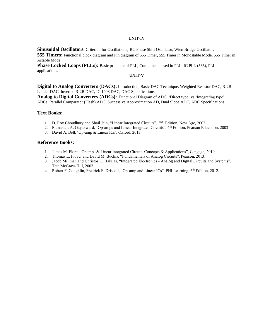#### **UNIT-IV**

**Sinusoidal Oscillators:** Criterion for Oscillations, RC Phase Shift Oscillator, Wien Bridge Oscillator. **555 Timers:** Functional block diagram and Pin diagram of 555 Timer, 555 Timer in Monostable Mode, 555 Timer in Astable Mode

Phase Locked Loops (PLLs): Basic principle of PLL, Components used in PLL, IC PLL (565), PLL applications.

#### **UNIT-V**

**Digital to Analog Converters (DACs):** Introduction, Basic DAC Technique, Weighted Resistor DAC, R-2R Ladder DAC, Inverted R-2R DAC, IC 1408 DAC, DAC Specifications

**Analog to Digital Converters (ADCs):** Functional Diagram of ADC, 'Direct type' vs 'Integrating type' ADCs, Parallel Comparator (Flash) ADC, Successive Approximation AD, Dual Slope ADC, ADC Specifications.

#### **Text Books:**

- 1. D. Roy Choudhury and Shail Jain, "Linear Integrated Circuits", 2<sup>nd</sup> Edition, New Age, 2003
- 2. Ramakant A. Gayakward, "Op-amps and Linear Integrated Circuits", 4<sup>th</sup> Edition, Pearson Education, 2003
- 3. David A. Bell, 'Op-amp & Linear ICs', Oxford, 2013

- 1. James M. Fiore, "Opamps & Linear Integrated Circuits Concepts & Applications", Cengage, 2010.
- 2. Thomas L. Floyd and David M. Buchla, "Fundamentals of Analog Circuits", Pearson, 2013.
- 3. Jacob Millman and Christos C. Halkias, "Integrated Electronics Analog and Digital Circuits and Systems", Tata McGraw-Hill, 2003
- 4. Robert F. Coughlin, Fredrick F. Driscoll, "Op-amp and Linear ICs", PHI Learning, 6<sup>th</sup> Edition, 2012.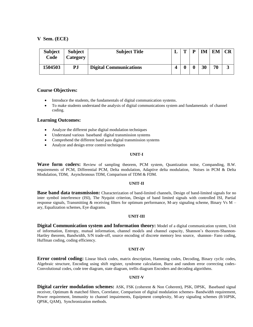| <b>Subject</b><br>Code | <b>Subject</b><br>Category | <b>Subject Title</b>          | L | $\mathbf{m}$ | D | <b>IM</b> | <b>EM</b> | CR |
|------------------------|----------------------------|-------------------------------|---|--------------|---|-----------|-----------|----|
| 1504503                | PJ                         | <b>Digital Communications</b> |   |              |   | 30        | 70        | ັ  |

#### **Course Objectives:**

- Introduce the students, the fundamentals of digital communication systems.
- To make students understand the analysis of digital communications system and fundamentals of channel coding.

# **Learning Outcomes:**

- Analyze the different pulse digital modulation techniques
- Understand various baseband digital transmission systems
- Comprehend the different band pass digital transmission systems
- Analyze and design error control techniques

#### **UNIT-I**

**Wave form coders:** Review of sampling theorem, PCM system, Quantization noise, Companding, B.W. requirements of PCM, Differential PCM, Delta modulation, Adaptive delta modulation, Noises in PCM & Delta Modulation, TDM, Asynchronous TDM, Comparison of TDM & FDM.

#### **UNIT-II**

**Base band data transmission:** Characterization of band-limited channels, Design of band-limited signals for no inter symbol interference (ISI), The Nyquist criterion, Design of band limited signals with controlled ISI, Partial response signals, Transmitting  $&$  receiving filters for optimum performance, M-ary signaling scheme, Binary Vs M – ary, Equalization schemes, Eye diagrams.

#### **UNIT-III**

**Digital Communication system and Information theory:** Model of a digital communication system, Unit of information, Entropy, mutual information, channel models and channel capacity, Shannon's theorem-Shannon-Hartley theorem, Bandwidth, S/N trade-off, source encoding of discrete memory less source, shannon- Fano coding, Huffman coding, coding efficiency.

#### **UNIT-IV**

**Error control coding:** Linear block codes, matrix description, Hamming codes, Decoding, Binary cyclic codes, Algebraic structure, Encoding using shift register, syndrome calculation, Burst and random error correcting codes-Convolutional codes, code tree diagram, state diagram, trellis diagram Encoders and decoding algorithms.

#### **UNIT-V**

**Digital carrier modulation schemes:** ASK, FSK (coherent & Non Coherent), PSK, DPSK, Baseband signal receiver, Optimum & matched filters, Correlator, Comparison of digital modulation schemes- Bandwidth requirement, Power requirement, Immunity to channel impairments, Equipment complexity, M-ary signaling schemes (8/16PSK, QPSK, QAM), Synchronization methods.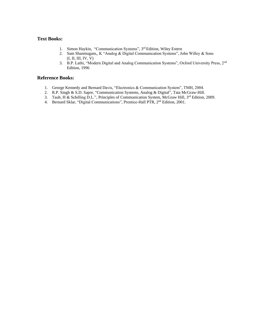# **Text Books:**

- 1. Simon Haykin, "Communication Systems", 3rd Edition, Wiley Estern
- 2. Sam Shanmugam,, K "Analog & Digital Communication Systems", John Willey & Sons (I, II, III, IV, V)
- 3. B.P. Lathi, "Modern Digital and Analog Communication Systems", Oxford University Press, 2nd Edition, 1996

- 1. George Kennedy and Bernard Davis, "Electronics & Communication System", TMH, 2004.
- 2. R.P. Singh & S.D. Sapre, "Communication Systems, Analog & Digital", Tata McGraw-Hill.
- 3. Taub, H & Schilling D.L.", Principles of Communication System, McGraw Hill, 3rd Edition, 2009.
- 4. Bernard Sklar, "Digital Communications", Prentice-Hall PTR, 2<sup>nd</sup> Edition, 2001.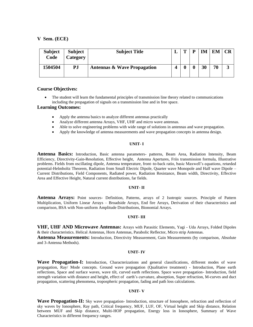| <b>Subject</b><br>Code | <b>Subject</b><br>Category | <b>Subject Title</b>                   | m | D | <b>IM</b> | EM | CR |
|------------------------|----------------------------|----------------------------------------|---|---|-----------|----|----|
| 1504504                | PJ                         | <b>Antennas &amp; Wave Propagation</b> |   |   | 30        | 70 |    |

#### **Course Objectives:**

• The student will learn the fundamental principles of transmission line theory related to communications including the propagation of signals on a transmission line and in free space.

#### **Learning Outcomes:**

- Apply the antenna basics to analyze different antennas practically
- Analyze different antenna Arrays, VHF, UHF and micro wave antennas.
- Able to solve engineering problems with wide range of solutions in antennas and wave propagation.
- Apply the knowledge of antenna measurements and wave propagation concepts in antenna design.

#### **UNIT- I**

**Antenna Basics:** Introduction, Basic antenna parameters- patterns, Beam Area, Radiation Intensity, Beam Efficiency, Directivity-Gain-Resolution, Effective height, Antenna Apertures, Friis transmission formula, Illustrative problems. Fields from oscillating dipole, Antenna temperature, front–to-back ratio, basic Maxwell's equations, retarded potential-Helmholtz Theorem, Radiation from Small Electric Dipole, Quarter wave Monopole and Half wave Dipole – Current Distributions, Field Components, Radiated power, Radiation Resistance, Beam width, Directivity, Effective Area and Effective Height, Natural current distributions, far fields.

#### **UNIT- II**

**Antenna Arrays:** Point sources- Definition, Patterns, arrays of 2 Isotropic sources. Principle of Pattern Multiplication, Uniform Linear Arrays – Broadside Arrays, End fire Arrays, Derivation of their characteristics and comparison, BSA with Non-uniform Amplitude Distributions, Bionomial Arrays.

#### **UNIT- III**

**VHF, UHF AND Microwave Antennas:** Arrays with Parasitic Elements, Yagi - Uda Arrays, Folded Dipoles & their characteristics. Helical Antennas, Horn Antennas, Parabolic Reflector, Micro strip Antennas.

**Antenna Measurements:** Introduction, Directivity Measurement, Gain Measurements (by comparison, Absolute and 3-Antenna Methods).

#### **UNIT- IV**

**Wave Propagation-I:** Introduction, Characterizations and general classifications, different modes of wave propagation, Ray/ Mode concepts. Ground wave propagation (Qualitative treatment) - Introduction, Plane earth reflections, Space and surface waves, wave tilt, curved earth reflections. Space wave propagation- Introduction, field strength variation with distance and height, effect of earth's curvature, absorption, Super refraction, M-curves and duct propagation, scattering phenomena, tropospheric propagation, fading and path loss calculations.

#### **UNIT- V**

**Wave Propagation-II:** Sky wave propagation- Introduction, structure of Ionosphere, refraction and reflection of sky waves by Ionosphere, Ray path, Critical frequency, MUF, LUF, OF, Virtual height and Skip distance, Relation between MUF and Skip distance, Multi-HOP propagation, Energy loss in Ionosphere, Summary of Wave Characteristics in different frequency ranges.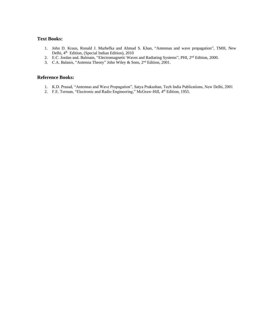# **Text Books:**

- 1. John D. Kraus, Ronald J. Marhefka and Ahmad S. Khan, "Antennas and wave propagation", TMH, New Delhi, 4<sup>th</sup> Edition, (Special Indian Edition), 2010
- 2. E.C. Jordan and. Balmain, "Electromagnetic Waves and Radiating Systems", PHI, 2<sup>nd</sup> Edition, 2000.
- 3. C.A. Balanis, "Antenna Theory" John Wiley & Sons, 2<sup>nd</sup> Edition, 2001.

- 1. K.D. Prasad, "Antennas and Wave Propagation", Satya Prakashan, Tech India Publications, New Delhi, 2001
- 2. F.E. Terman, "Electronic and Radio Engineering," McGraw-Hill, 4<sup>th</sup> Edition, 1955.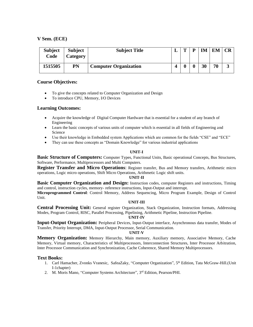| <b>Subject</b><br>Code | <b>Subject</b><br>Category | <b>Subject Title</b>         | m | D | TМ | d N/ | CR |
|------------------------|----------------------------|------------------------------|---|---|----|------|----|
| 1515505                | PN                         | <b>Computer Organization</b> |   |   | 30 | 70   | ມ  |

# **Course Objectives:**

- To give the concepts related to Computer Organization and Design
- To introduce CPU, Memory, I/O Devices

# **Learning Outcomes:**

- Acquire the knowledge of Digital Computer Hardware that is essential for a student of any branch of Engineering
- Learn the basic concepts of various units of computer which is essential in all fields of Engineering and Science
- Use their knowledge in Embedded system Applications which are common for the fields "CSE" and "ECE"
- They can use these concepts as "Domain Knowledge" for various industrial applications

# **UNIT-I**

**Basic Structure of Computers:** Computer Types, Functional Units, Basic operational Concepts, Bus Structures, Software, Performance, Multiprocessors and Multi Computers.

**Register Transfer and Micro Operations**: Register transfer, Bus and Memory transfers, Arithmetic micro operations, Logic micro operations, Shift Micro Operations, Arithmetic Logic shift units.

#### **UNIT-II**

**Basic Computer Organization and Design:** Instruction codes, computer Registers and instructions, Timing and control, instruction cycles, memory- reference instructions, Input-Output and interrupt.

**Microprogrammed Control**: Control Memory, Address Sequencing, Micro Program Example, Design of Control Unit.

#### **UNIT-III**

**Central Processing Unit:** General register Organization, Stack Organization, Instruction formats, Addressing Modes, Program Control, RISC, Parallel Processing, Pipelining, Arithmetic Pipeline, Instruction Pipeline.

#### **UNIT-IV**

**Input-Output Organization:** Peripheral Devices, Input-Output interface, Asynchronous data transfer, Modes of Transfer, Priority Interrupt, DMA, Input-Output Processor, Serial Communication.

#### **UNIT-V**

**Memory Organization:** Memory Hierarchy, Main memory, Auxiliary memory, Associative Memory, Cache Memory, Virtual memory, Characteristics of Multiprocessors, Interconnection Structures, Inter Processor Arbitration, Inter Processor Communication and Synchronization, Cache Coherence, Shared Memory Multiprocessors.

# **Text Books:**

- 1. Carl Hamacher, Zvonks Vranesic, SafeaZaky, "Computer Organization", 5<sup>th</sup> Edition, Tata McGraw-Hill.(Unit I-1chapter)
- 2. M. Moris Mano, "Computer Systems Architecture", 3rd Edition, Pearson/PHI.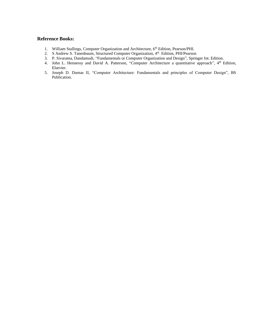- 1. William Stallings, Computer Organization and Architecture, 6<sup>th</sup> Edition, Pearson/PHI.
- 2. S Andrew S. Tanenbaum, Structured Computer Organization, 4<sup>th</sup> Edition, PHI/Pearson
- 3. P. Sivarama, Dandamudi, "Fundamentals or Computer Organization and Design", Springer Int. Edition.
- 4. John L. Hennessy and David A. Patterson, "Computer Architecture a quantitative approach", 4<sup>th</sup> Edition, Elsevier.
- 5. Joseph D. Dumas II, "Computer Architecture: Fundamentals and principles of Computer Design", BS Publication.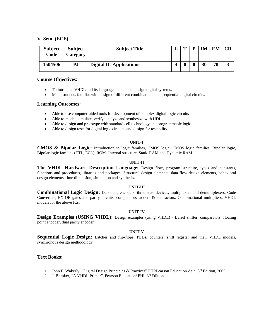| <b>Subject</b><br>Code | <b>Subject</b><br>Category | <b>Subject Title</b>           | $\mathbf{r}$ | TМ | EМ |   |
|------------------------|----------------------------|--------------------------------|--------------|----|----|---|
| 1504506                | PJ                         | <b>Digital IC Applications</b> |              | 30 | 70 | J |

# **Course Objectives:**

- To introduce VHDL and its language elements to design digital systems.
- Make students familiar with design of different combinational and sequential digital circuits.

# **Learning Outcomes:**

- Able to use computer-aided tools for development of complex digital logic circuits
- Able to model, simulate, verify, analyze and synthesize with HDL.
- Able to design and prototype with standard cell technology and programmable logic.
- Able to design tests for digital logic circuits, and design for testability.

#### **UNIT-I**

**CMOS & Bipolar Logic:** Introduction to logic families, CMOS logic, CMOS logic families, Bipolar logic, Bipolar logic families (TTL, ECL), ROM- Internal structure, Static RAM and Dynamic RAM.

#### **UNIT-II**

**The VHDL Hardware Description Language:** Design flow, program structure, types and constants, functions and procedures, libraries and packages. Structural design elements, data flow design elements, behavioral design elements, time dimension, simulation and synthesis.

#### **UNIT-III**

**Combinational Logic Design:** Decoders, encoders, three state devices, multiplexers and demultiplexers, Code Converters, EX-OR gates and parity circuits, comparators, adders & subtractors, Combinational multipliers. VHDL models for the above ICs.

#### **UNIT-IV**

**Design Examples (USING VHDL):** Design examples (using VHDL) - Barrel shifter, comparators, floating point encoder, dual parity encoder.

#### **UNIT-V**

**Sequential Logic Design:** Latches and flip-flops, PLDs, counters, shift register and their VHDL models, synchronous design methodology.

# **Text Books:**

- 1. John F. Wakerly, "Digital Design Principles & Practices" PHI/Pearson Education Asia, 3<sup>rd</sup> Edition, 2005.
- 2. J. Bhasker, "A VHDL Primer", Pearson Education/ PHI, 3rd Edition.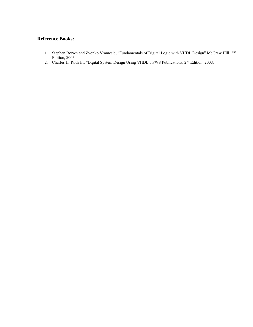- 1. Stephen Borwn and Zvonko Vramesic, "Fundamentals of Digital Logic with VHDL Design" McGraw Hill, 2<sup>nd</sup> Edition, 2005.
- 2. Charles H. Roth Jr., "Digital System Design Using VHDL", PWS Publications, 2<sup>nd</sup> Edition, 2008.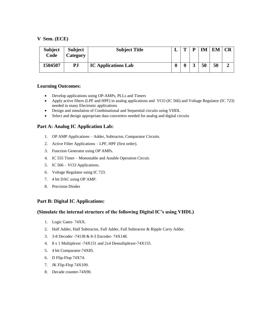| <b>Subject</b><br>Code | <b>Subject</b><br>Category | <b>Subject Title</b>       |   | m | D          | <b>IM</b> | <b>EM</b> | CR |
|------------------------|----------------------------|----------------------------|---|---|------------|-----------|-----------|----|
| 1504507                | PJ                         | <b>IC Applications Lab</b> | υ |   | $\sqrt{2}$ | 50        | 50        |    |

# **Learning Outcomes:**

- Develop applications using OP-AMPs, PLLs and Timers
- Apply active filters (LPF and HPF) in analog applications and VCO (IC 566) and Voltage Regulator (IC 723) needed in many Electronic applications
- Design and simulation of Combinational and Sequential circuits using VHDL
- Select and design appropriate data converters needed for analog and digital circuits

# **Part A: Analog IC Application Lab:**

- 1. OP AMP Applications Adder, Subtractor, Comparator Circuits.
- 2. Active Filter Applications LPF, HPF (first order).
- 3. Function Generator using OP AMPs.
- 4. IC 555 Timer Monostable and Astable Operation Circuit.
- 5. IC 566 VCO Applications.
- 6. Voltage Regulator using IC 723.
- 7. 4 bit DAC using OP AMP.
- 8. Precision Diodes

# **Part B: Digital IC Applications:**

# **(Simulate the internal structure of the following Digital IC's using VHDL)**

- 1. Logic Gates- 74XX.
- 2. Half Adder, Half Subtractor, Full Adder, Full Subtractor & Ripple Carry Adder.
- 3. 3-8 Decoder -74138 & 8-3 Encoder- 74X148.
- 4. 8 x 1 Multiplexer -74X151 and 2x4 Demultiplexer-74X155.
- 5. 4 bit Comparator-74X85.
- 6. D Flip-Flop 74X74.
- 7. JK Flip-Flop 74X109.
- 8. Decade counter-74X90.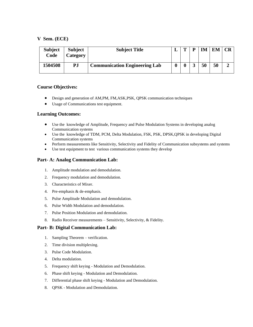| <b>Subject</b><br>Code | <b>Subject</b><br>Category | <b>Subject Title</b>                 | m | D | TМ | EM | CR |
|------------------------|----------------------------|--------------------------------------|---|---|----|----|----|
| 1504508                | PJ                         | <b>Communication Engineering Lab</b> |   |   | 50 | 50 |    |

# **Course Objectives:**

- Design and generation of AM,PM, FM,ASK,PSK, QPSK communication techniques
- Usage of Communications test equipment.

# **Learning Outcomes:**

- Use the knowledge of Amplitude, Frequency and Pulse Modulation Systems in developing analog Communication systems
- Use the knowledge of TDM, PCM, Delta Modulation, FSK, PSK, DPSK, QPSK in developing Digital Communication systems
- Perform measurements like Sensitivity, Selectivity and Fidelity of Communication subsystems and systems
- Use test equipment to test various communication systems they develop

# **Part- A: Analog Communication Lab:**

- 1. Amplitude modulation and demodulation.
- 2. Frequency modulation and demodulation.
- 3. Characteristics of Mixer.
- 4. Pre-emphasis & de-emphasis.
- 5. Pulse Amplitude Modulation and demodulation.
- 6. Pulse Width Modulation and demodulation.
- 7. Pulse Position Modulation and demodulation.
- 8. Radio Receiver measurements Sensitivity, Selectivity, & Fidelity.

# **Part- B: Digital Communication Lab:**

- 1. Sampling Theorem verification.
- 2. Time division multiplexing.
- 3. Pulse Code Modulation.
- 4. Delta modulation.
- 5. Frequency shift keying Modulation and Demodulation.
- 6. Phase shift keying Modulation and Demodulation.
- 7. Differential phase shift keying Modulation and Demodulation.
- 8. QPSK Modulation and Demodulation.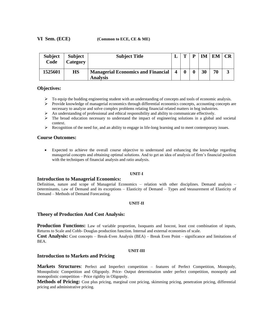| <b>Subject</b><br>Code | <b>Subject</b><br>Category | <b>Subject Title</b>                                         |                  | m | D | IМ | EM | CR |
|------------------------|----------------------------|--------------------------------------------------------------|------------------|---|---|----|----|----|
| 1525601                | <b>HS</b>                  | <b>Managerial Economics and Financial</b><br><b>Analysis</b> | $\boldsymbol{4}$ |   |   | 30 | 70 |    |

#### **Objectives:**

- $\triangleright$  To equip the budding engineering student with an understanding of concepts and tools of economic analysis.
- ➢ Provide knowledge of managerial economics through differential economics concepts, accounting concepts are necessary to analyze and solve complex problems relating financial related matters in bog industries.
- ➢ An understanding of professional and ethical responsibility and ability to communicate effectively.
- ➢ The broad education necessary to understand the impact of engineering solutions in a global and societal context.
- ➢ Recognition of the need for, and an ability to engage in life-long learning and to meet contemporary issues.

#### **Course Outcomes:**

• Expected to achieve the overall course objective to understand and enhancing the knowledge regarding managerial concepts and obtaining optimal solutions. And to get an idea of analysis of firm's financial position with the techniques of financial analysis and ratio analysis.

#### **UNIT-I**

#### **Introduction to Managerial Economics:**

Definition, nature and scope of Managerial Economics – relation with other disciplines. Demand analysis – Determinants, Law of Demand and its exceptions – Elasticity of Demand – Types and Measurement of Elasticity of Demand – Methods of Demand Forecasting.

#### **UNIT-II**

#### **Theory of Production And Cost Analysis:**

**Production Functions:** Law of variable proportion, Isoquants and Isocost, least cost combination of inputs, Returns to Scale and Cobb- Douglas production function. Internal and external economies of scale.

**Cost Analysis:** Cost concepts – Break-Even Analysis (BEA) – Break Even Point – significance and limitations of BEA.

#### **UNIT-III**

# **Introduction to Markets and Pricing**

**Markets Structures**: Perfect and Imperfect competition – features of Perfect Competition, Monopoly, Monopolistic Competition and Oligopoly. Price- Output determination under perfect competition, monopoly and monopolistic competition – Price rigidity in Oligopoly.

**Methods of Pricing:** Cost plus pricing, marginal cost pricing, skimming pricing, penetration pricing, differential pricing and administrative pricing.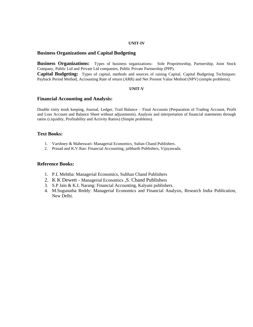#### **UNIT-IV**

# **Business Organizations and Capital Budgeting**

**Business Organizations:** Types of business organizations- Sole Proprietorship, Partnership, Joint Stock Company, Public Ltd and Private Ltd companies, Public Private Partnership (PPP).

**Capital Budgeting:** Types of capital, methods and sources of raising Capital. Capital Budgeting Techniques: Payback Period Method, Accounting Rate of return (ARR) and Net Present Value Method (NPV) (simple problems).

#### **UNIT-V**

#### **Financial Accounting and Analysis:**

Double Entry Book keeping, Journal, Ledger, Trail Balance – Final Accounts (Preparation of Trading Account, Profit and Loss Account and Balance Sheet without adjustments). Analysis and interpretation of financial statements through ratios (Liquidity, Profitability and Activity Ratios) (Simple problems).

# **Text Books:**

- 1. Varshney & Maheswari: Managerial Economics, Sultan Chand Publishers.
- 2. Prasad and K.V.Rao: Financial Accounting, jaibharth Publishers, Vijayawada.

- 1. P.L Mehtha: Managerial Economics, Sulthan Chand Publishers
- 2. K K Dewett [Managerial Economics](https://www.schandpublishing.com/author-details/k-k-dewett/508) ,S. Chand Publishers
- 3. S.P Jain & K.L Narang: Financial Accounting, Kalyani publishers.
- 4. M.Sugunatha Reddy: Managerial Economics and Financial Analysis, Research India Publication, New Delhi.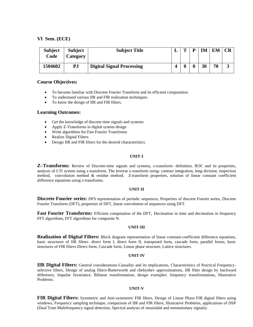| <b>Subject</b><br>Code | <b>Subject</b><br>Category | <b>Subject Title</b>             | m | <b>IM</b> | EМ |   |
|------------------------|----------------------------|----------------------------------|---|-----------|----|---|
| 1504602                | PJ                         | <b>Digital Signal Processing</b> |   | 30        | 70 | ມ |

# **Course Objectives:**

- To become familiar with Discrete Fourier Transform and its efficient computation.
- To understand various IIR and FIR realization techniques.
- To know the design of IIR and FIR filters.

#### **Learning Outcomes:**

- Get the knowledge of discrete time signals and systems
- Apply Z-Transforms in digital system design
- Write algorithms for Fast Fourier Transforms
- Realize Digital Filters
- Design IIR and FIR filters for the desired characteristics.

#### **UNIT-I**

**Z–Transforms:** Review of Discrete-time signals and systems, z-transform- definition, ROC and its properties, analysis of LTI system using z-transform, The Inverse z-transform using- contour integration, long division, inspection method, convolution method & residue method. Z-transform properties, solution of linear constant coefficient difference equations using z-transforms.

#### **UNIT-II**

**Discrete Fourier series:** DFS representation of periodic sequences, Properties of discrete Fourier series, Discrete Fourier Transform (DFT), properties of DFT, linear convolution of sequences using DFT.

**Fast Fourier Transforms:** Efficient computation of the DFT, Decimation in time and decimation in frequency FFT algorithms, FFT algorithms for composite N.

#### **UNIT-III**

**Realization of Digital Filters:** Block diagram representation of linear constant-coefficient difference equations, basic structures of IIR filters- direct form I, direct form II, transposed form, cascade form, parallel forms, basic structures of FIR filters-Direct form, Cascade form, Linear phase structure, Lattice structures.

#### **UNIT-IV**

**IIR Digital Filters:** General considerations-Causality and its implications, Characteristics of Practical Frequencyselective filters, Design of analog filters-Butterworth and chebyshev approximations, IIR filter design by backward difference, Impulse Invariance, Bilinear transformation, design examples: frequency transformations, Illustrative Problems.

#### **UNIT-V**

**FIR Digital Filters:** Symmetric and Anti-symmetric FIR filters, Design of Linear Phase FIR digital filters using windows, Frequency sampling technique, comparison of IIR and FIR filters, Illustrative Problems, applications of DSP (Dual Tone Multifrequency signal detection, Spectral analysis of sinusoidal and nonstationary signals).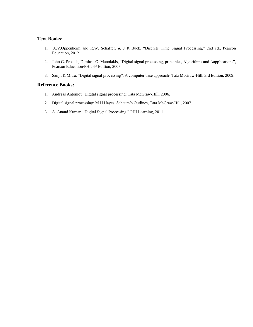# **Text Books:**

- 1. A.V.Oppenheim and R.W. Schaffer, & J R Buck, "Discrete Time Signal Processing," 2nd ed., Pearson Education, 2012.
- 2. John G. Proakis, Dimitris G. Manolakis, "Digital signal processing, principles, Algorithms and Aapplications", Pearson Education/PHI, 4<sup>th</sup> Edition, 2007.
- 3. Sanjit K Mitra, "Digital signal processing", A computer base approach- Tata McGraw-Hill, 3rd Edition, 2009.

- 1. Andreas Antoniou, Digital signal processing: Tata McGraw-Hill, 2006.
- 2. Digital signal processing: M H Hayes, Schaum's Outlines, Tata McGraw-Hill, 2007.
- 3. A. Anand Kumar, "Digital Signal Processing," PHI Learning, 2011.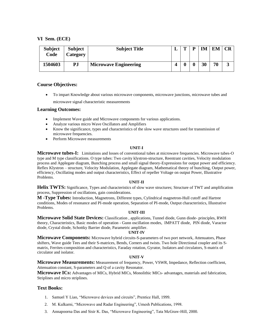| <b>Subject</b><br>Code | <b>Subject</b><br>Category | <b>Subject Title</b>         | $\mathbf{r}$ | TМ | EМ |   |
|------------------------|----------------------------|------------------------------|--------------|----|----|---|
| 1504603                | PJ                         | <b>Microwave Engineering</b> |              | 30 | 70 | J |

# **Course Objectives:**

• To impart Knowledge about various microwave components, microwave junctions, microwave tubes and microwave signal characteristic measurements

# **Learning Outcomes:**

- Implement Wave guide and Microwave components for various applications.
- Analyze various micro Wave Oscillators and Amplifiers
- Know the significance, types and characteristics of the slow wave structures used for transmission of microwave frequencies.
- Perform Microwave measurements

#### **UNIT-I**

**Microwave tubes-I:** Limitations and losses of conventional tubes at microwave frequencies. Microwave tubes-O type and M type classifications. O type tubes: Two cavity klystron-structure, Reentrant cavities, Velocity modulation process and Applegate diagram, Bunching process and small signal theory-Expressions for output power and efficiency. Reflex Klystron – structure, Velocity Modulation, Applegate diagram, Mathematical theory of bunching, Output power, efficiency, Oscillating modes and output characteristics, Effect of repeller Voltage on output Power, Illustrative Problems.

#### **UNIT-II**

**Helix TWTS:** Significance, Types and characteristics of slow wave structures; Structure of TWT and amplification process, Suppression of oscillations, gain considerations.

**M -Type Tubes:** Introduction, Magnetrons, Different types, Cylindrical magnetron-Hull cutoff and Hartree conditions, Modes of resonance and PI-mode operation, Separation of PI-mode, Output characteristics, Illustrative Problems.

#### **UNIT-III**

**Microwave Solid State Devices:** Classification , applications, Tunnel diode, Gunn diode- principles, RWH theory, Characteristics, Basic modes of operation - Gunn oscillation modes, IMPATT diode, PIN diode, Varactor diode, Crystal diode, Schottky Barrier diode, Parametric amplifier.

#### **UNIT-IV**

**Microwave Components:** Microwave hybrid circuits-S-parameters of two port network, Attenuators, Phase shifters, Wave guide Tees and their S-matrices, Bends, Corners and twists. Two hole Directional coupler and its Smatrix, Ferrites-composition and characteristics, Faraday rotation, Gyrator, Isolators and circulators, S-matrix of circulator and isolator.

#### **UNIT-V**

**Microwave Measurements:** Measurement of frequency, Power, VSWR, Impedance, Reflection coefficient, Attenuation constant, S-parameters and Q of a cavity Resonator.

**Microwave ICs:** Advantages of MICs, Hybrid MICs, Monolithic MICs- advantages, materials and fabrication, Striplines and micro striplines.

# **Text Books:**

- 1. Samuel Y Liao, "Microwave devices and circuits", Prentice Hall, 1999.
- 2. M. Kulkarni, "Microwave and Radar Engineering", Umesh Publications, 1998.
- 3. Annapoorna Das and Sisir K. Das, "Microwave Engineering", Tata McGraw-Hill, 2000.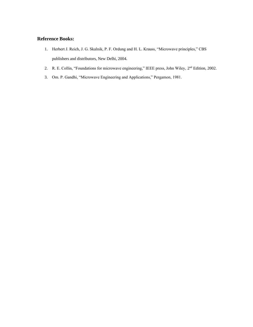- 1. Herbert J. Reich, J. G. Skalnik, P. F. Ordung and H. L. Krauss, "Microwave principles," CBS publishers and distributors, New Delhi, 2004.
- 2. R. E. Collin, "Foundations for microwave engineering," IEEE press, John Wiley,  $2<sup>nd</sup>$  Edition, 2002.
- 3. Om. P. Gandhi, "Microwave Engineering and Applications," Pergamon, 1981.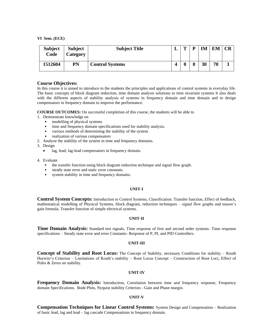| <b>Subject</b><br>Code | <b>Subject</b><br>Category | <b>Subject Title</b>   | m | D | IM | EM | <b>CR</b> |
|------------------------|----------------------------|------------------------|---|---|----|----|-----------|
| 1512604                | PN                         | <b>Control Systems</b> |   |   | 30 | 70 | J         |

#### **Course Objectives:**

In this course it is aimed to introduce to the students the principles and applications of control systems in everyday life. The basic concepts of block diagram reduction, time domain analysis solutions to time invariant systems It also deals with the different aspects of stability analysis of systems in frequency domain and time domain and to design compensators in frequency domain to improve the performance.

**COURSE OUTCOMES:** On successful completion of this course, the students will be able to

1. Demonstrate knowledge on

- modelling of physical systems
- time and frequency domain specifications used for stability analysis.
- various methods of determining the stability of the system
- realization of various compensators
- 2. Analyze the stability of the system in time and frequency domains.
- 3. Design
	- lag, lead, lag-lead compensators in frequency domain.
- 4. Evaluate
	- the transfer function using block diagram reduction technique and signal flow graph.
	- steady state error and static error constants.
	- system stability in time and frequency domains.

#### **UNIT-I**

**Control System Concepts:** Introduction to Control Systems, Classification. Transfer function, Effect of feedback, mathematical modelling of Physical Systems, block diagram, reduction techniques – signal flow graphs and mason's gain formula. Transfer function of simple electrical systems.

#### **UNIT-II**

**Time Domain Analysis:** Standard test signals, Time response of first and second order systems- Time response specifications – Steady state error and error Constants- Response of P, PI, and PID Controllers.

#### **UNIT-III**

**Concept of Stability and Root Locus:** The Concept of Stability, necessary Conditions for stability – Routh Hurwitz's Criterion – Limitations of Routh's stability – Root Locus Concept – Construction of Root Loci, Effect of Poles & Zeros on stability.

#### **UNIT-IV**

**Frequency Domain Analysis:** Introduction, Correlation between time and frequency response, Frequency domain Specifications. Bode Plots, Nyquist stability Criterion - Gain and Phase margin.

#### **UNIT-V**

**Compensation Techniques for Linear Control Systems:** System Design and Compensation – Realization of basic lead, lag and lead – lag cascade Compensations in frequency domain.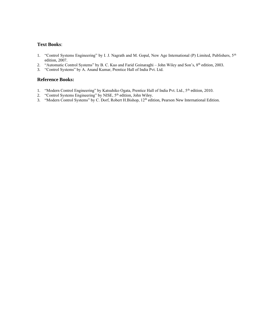# **Text Books**:

- 1. "Control Systems Engineering" by I. J. Nagrath and M. Gopal, New Age International (P) Limited, Publishers, 5<sup>th</sup> edition, 2007.
- 2. "Automatic Control Systems" by B. C. Kuo and Farid Goinaraghi John Wiley and Son's, 8<sup>th</sup> edition, 2003.
- 3. "Control Systems" by A. Anand Kumar, Prentice Hall of India Pvt. Ltd.

- 1. "Modern Control Engineering" by Katsuhiko Ogata, Prentice Hall of India Pvt. Ltd., 5<sup>th</sup> edition, 2010.
- 2. "Control Systems Engineering" by NISE, 5<sup>th</sup> edition, John Wiley.
- 3. "Modern Control Systems" by C. Dorf, Robert H.Bishop, 12<sup>th</sup> edition, Pearson New International Edition.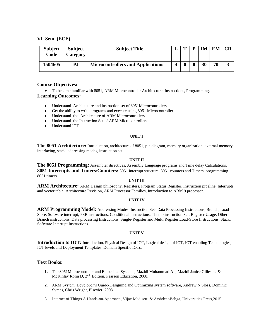| <b>Subject</b><br>Code | <b>Subject</b><br>Category | <b>Subject Title</b>                     | m | ГM | EМ |   |
|------------------------|----------------------------|------------------------------------------|---|----|----|---|
| 1504605                | PJ                         | <b>Microcontrollers and Applications</b> |   | 30 | 70 | J |

# **Course Objectives:**

• To become familiar with 8051, ARM Microcontroller Architecture, Instructions, Programming. **Learning Outcomes:**

- Understand Architecture and instruction set of 8051Microcontrollers
- Get the ability to write programs and execute using 8051 Microcontroller.
- Understand the Architecture of ARM Microcontrollers
- Understand the Instruction Set of ARM Microcontrollers
- Understand IOT.

#### **UNIT I**

**The 8051 Architecture:** Introduction, architecture of 8051, pin diagram, memory organization, external memory interfacing, stack, addressing modes, instruction set.

#### **UNIT II**

**The 8051 Programming:** Assembler directives, Assembly Language programs and Time delay Calculations. **8051 Interrupts and Timers/Counters:** 8051 interrupt structure, 8051 counters and Timers, programming 8051 timers.

#### **UNIT III**

**ARM Architecture:** ARM Design philosophy, Registers, Program Status Register, Instruction pipeline, Interrupts and vector table, Architecture Revision, ARM Processor Families, Introduction to ARM 9 processor.

#### **UNIT IV**

**ARM Programming Model:** Addressing Modes, Instruction Set- Data Processing Instructions, Branch, Load-Store, Software interrupt, PSR instructions, Conditional instructions, Thumb instruction Set: Register Usage, Other Branch instructions, Data processing Instructions, Single-Register and Multi Register Load-Store Instructions, Stack, Software Interrupt Instructions.

#### **UNIT V**

**Introduction to IOT:** Introduction, Physical Design of IOT, Logical design of IOT, IOT enabling Technologies, IOT levels and Deployment Templates, Domain Specific IOTs.

#### **Text Books:**

- **1.** The 8051Microcontroller and Embedded Systems, Mazidi Muhammad Ali, Mazidi Janice Gillespie & McKinlay Rolin D, 2<sup>nd</sup> Edition, Pearson Education, 2008.
- **2.** ARM System Developer's Guide-Designing and Optimizing system software, Andrew N.Sloss, Dominic Symes, Chris Wright, Elsevier, 2008.
- 3. Internet of Things A Hands-on-Approach, Vijay Madisetti & ArshdeepBahga, Universities Press,2015.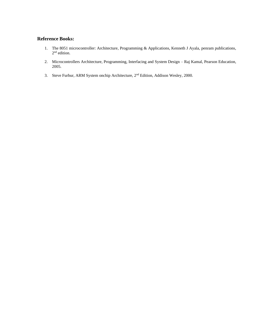- 1. The 8051 microcontroller: Architecture, Programming & Applications, Kenneth J Ayala, penram publications, 2<sup>nd</sup> edition.
- 2. Microcontrollers Architecture, Programming, Interfacing and System Design Raj Kamal, Pearson Education, 2005.
- 3. Steve Furbur, ARM System onchip Architecture, 2nd Edition, Addison Wesley, 2000.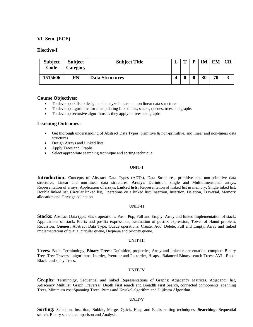#### **Elective-I**

| <b>Subject</b><br>Code | <b>Subject</b><br>Category | <b>Subject Title</b>   | m | D | <b>IM</b> | EM | CR |
|------------------------|----------------------------|------------------------|---|---|-----------|----|----|
| 1515606                | PN                         | <b>Data Structures</b> |   |   | 30        | 70 | J  |

#### **Course Objectives:**

- To develop skills to design and analyze linear and non linear data structures
- To develop algorithms for manipulating linked lists, stacks, queues, trees and graphs
- To develop recursive algorithms as they apply to trees and graphs.

#### **Learning Outcomes:**

- Get thorough understanding of Abstract Data Types, primitive & non-primitive, and linear and non-linear data structures
- Design Arrays and Linked lists
- Apply Trees and Graphs
- Select appropriate searching technique and sorting technique

#### **UNIT-I**

**Introduction:** Concepts of Abstract Data Types (ADTs), Data Structures, primitive and non-primitive data structures, Linear and non-linear data structures. **Arrays**: Definition, single and Multidimensional arrays, Representation of arrays, Application of arrays, **Linked lists:** Representation of linked list in memory, Single inked list, Double linked list, Circular linked list, Operations on a linked list: Insertion, Insertion, Deletion, Traversal, Memory allocation and Garbage collection.

#### **UNIT-II**

**Stacks:** Abstract Data type, Stack operations: Push, Pop, Full and Empty, Array and linked implementation of stack, Applications of stack: Prefix and postfix expressions, Evaluation of postfix expression, Tower of Hanoi problem, Recursion. **Queues:** Abstract Data Type, Queue operations: Create, Add, Delete, Full and Empty, Array and linked implementation of queue, circular queue, Dequeue and priority queue.

#### **UNIT-III**

**Trees:** Basic Terminology, **Binary Trees:** Definition, properties, Array and linked representation, complete Binary Tree, Tree Traversal algorithms: Inorder, Preorder and Postorder, Heaps, Balanced Binary search Trees: AVL, Read-Black and splay Trees.

#### **UNIT-IV**

**Graphs:** Terminolgy, Sequential and linked Representations of Graphs: Adjacency Matrices, Adjacency list, Adjacency Multilist, Graph Traversal: Depth First search and Breadth First Search, connected components, spanning Trees, Minimum cost Spanning Trees: Prims and Kruskal algorithm and Dijikstra Algorithm.

#### **UNIT-V**

**Sorting:** Selection, Insertion, Bubble, Merge, Quick, Heap and Radix sorting techniques, **Searching:** Sequential search, Binary search, comparison and Analysis.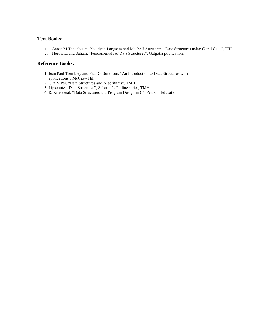# **Text Books:**

- 1. Aaron M.Tenenbaum, Yedidyah Langsam and Moshe J.Augestein, "Data Structures using C and C++ ", PHI.
- 2. Horowitz and Sahani, "Fundamentals of Data Structures", Galgotia publication.

- 1. Jean Paul Trembley and Paul G. Sorenson, "An Introduction to Data Structures with applications", McGraw Hill.
- 2. G A V Pai, "Data Structures and Algorithms", TMH
- 3. Lipschutz, "Data Structures", Schaum's Outline series, TMH
- 4. R. Kruse etal, "Data Structures and Program Design in C", Pearson Education.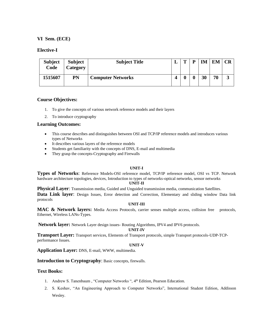# **Elective-I**

| <b>Subject</b><br>Code | <b>Subject</b><br>Category | <b>Subject Title</b>     | m | D | TМ | FМ |   |
|------------------------|----------------------------|--------------------------|---|---|----|----|---|
| 1515607                | PN                         | <b>Computer Networks</b> |   |   | 30 | 70 | J |

# **Course Objectives:**

- 1. To give the concepts of various network reference models and their layers
- 2. To introduce cryptography

# **Learning Outcomes:**

- This course describes and distinguishes between OSI and TCP/IP reference models and introduces various types of Networks
- It describes various layers of the reference models
- Students get familiarity with the concepts of DNS, E-mail and multimedia
- They grasp the concepts-Cryptography and Firewalls

# **UNIT-I**

**Types of Networks**: Reference Models-OSI reference model, TCP/IP reference model, OSI vs TCP. Network hardware architecture topologies, devices, Introduction to types of networks-optical networks, sensor networks

#### **UNIT-II**

**Physical Layer:** Transmission media, Guided and Unguided transmission media, communication Satellites. **Data Link layer:** Design Issues, Error detection and Correction, Elementary and sliding window Data link protocols

#### **UNIT-III**

**MAC & Network layers:** Media Access Protocols, carrier senses multiple access, collision free protocols, Ethernet, Wireless LANs-Types.

**Network layer:** Network Layer design issues- Routing Algorithms, IPV4 and IPV6 protocols.

#### **UNIT-IV**

**Transport Layer:** Transport services, Elements of Transport protocols, simple Transport protocols-UDP-TCPperformance Issues.

#### **UNIT-V**

**Application Layer:** DNS, E-mail, WWW, multimedia.

# **Introduction to Cryptography**: Basic concepts, firewalls.

# **Text Books:**

- 1. Andrew S. Tanenbaum, "Computer Networks ", 4<sup>th</sup> Edition, Pearson Education.
- 2. S. Keshav, "An Engineering Approach to Computer Networks", International Student Edition, Addisson Wesley.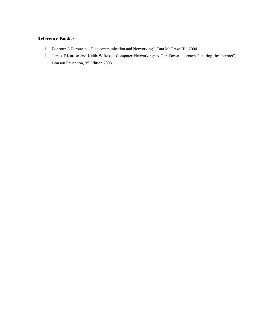- 1. Behrouz A.Forouzan " Data communication and Networking", Tata McGraw-Hill,2004
- 2. James F.Kurose and Keith W.Ross," Computer Networking: A Top-Down approach featuring the Internet", Pearson Education, 3rd Edition 2003.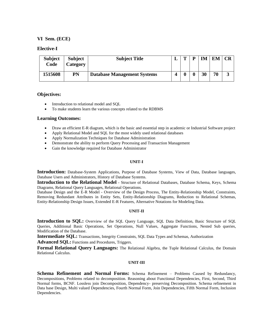#### **Elective-I**

| <b>Subject</b><br>Code | <b>Subject</b><br>Category | <b>Subject Title</b>               | m | D | IM | <b>EM</b> | CR |
|------------------------|----------------------------|------------------------------------|---|---|----|-----------|----|
| 1515608                | PN                         | <b>Database Management Systems</b> |   |   | 30 | 70        | J  |

# **Objectives:**

- Introduction to relational model and SQL
- To make students learn the various concepts related to the RDBMS

#### **Learning Outcomes:**

- Draw an efficient E-R diagram, which is the basic and essential step in academic or Industrial Software project
- Apply Relational Model and SQL for the most widely used relational databases
- Apply Normalization Techniques for Database Administration
- Demonstrate the ability to perform Query Processing and Transaction Management
- Gain the knowledge required for Database Administrator

#### **UNIT-I**

**Introduction:** Database-System Applications, Purpose of Database Systems, View of Data, Database languages, Database Users and Administrators, History of Database Systems.

**Introduction to the Relational Model** - Structure of Relational Databases, Database Schema, Keys, Schema Diagrams, Relational Query Languages, Relational Operations.

Database Design and the E-R Model - Overview of the Design Process, The Entity-Relationship Model, Constraints, Removing Redundant Attributes in Entity Sets, Entity-Relationship Diagrams, Reduction to Relational Schemas, Entity-Relationship Design Issues, Extended E-R Features, Alternative Notations for Modeling Data.

#### **UNIT-II**

**Introduction to SQL:** Overview of the SQL Query Language, SQL Data Definition, Basic Structure of SQL Queries, Additional Basic Operations, Set Operations, Null Values, Aggregate Functions, Nested Sub queries, Modification of the Database.

**Intermediate SQL:** Transactions, Integrity Constraints, SQL Data Types and Schemas, Authorization

Advanced SQL: Functions and Procedures, Triggers.

**Formal Relational Query Languages:** The Relational Algebra, the Tuple Relational Calculus, the Domain Relational Calculus.

#### **UNIT-III**

**Schema Refinement and Normal Forms:** Schema Refinement – Problems Caused by Redundancy, Decompositions, Problems related to decomposition. Reasoning about Functional Dependencies, First, Second, Third Normal forms, BCNF. Lossless join Decomposition, Dependency- preserving Decomposition. Schema refinement in Data base Design, Multi valued Dependencies, Fourth Normal Form, Join Dependencies, Fifth Normal Form, Inclusion Dependencies.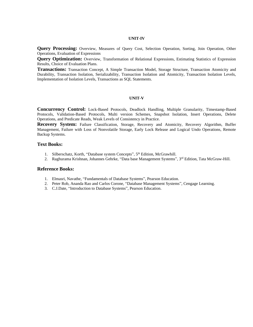#### **UNIT-IV**

**Query Processing:** Overview, Measures of Query Cost, Selection Operation, Sorting, Join Operation, Other Operations, Evaluation of Expressions

**Query Optimization:** Overview, Transformation of Relational Expressions, Estimating Statistics of Expression Results, Choice of Evaluation Plans.

**Transactions:** Transaction Concept, A Simple Transaction Model, Storage Structure, Transaction Atomicity and Durability, Transaction Isolation, Serializability, Transaction Isolation and Atomicity, Transaction Isolation Levels, Implementation of Isolation Levels, Transactions as SQL Statements.

#### **UNIT-V**

**Concurrency Control:** Lock-Based Protocols, Deadlock Handling, Multiple Granularity, Timestamp-Based Protocols, Validation-Based Protocols, Multi version Schemes, Snapshot Isolation, Insert Operations, Delete Operations, and Predicate Reads, Weak Levels of Consistency in Practice.

**Recovery System:** Failure Classification, Storage, Recovery and Atomicity, Recovery Algorithm, Buffer Management, Failure with Loss of Nonvolatile Storage, Early Lock Release and Logical Undo Operations, Remote Backup Systems.

# **Text Books:**

- 1. Silberschatz, Korth, "Database system Concepts", 5<sup>th</sup> Edition, McGrawhill.
- 2. Raghurama Krishnan, Johannes Gehrke, "Data base Management Systems", 3<sup>rd</sup> Edition, Tata McGraw-Hill.

- 1. Elmasri, Navathe, "Fundamentals of Database Systems", Pearson Education.
- 2. Peter Rob, Ananda Rao and Carlos Corone, "Database Management Systems", Cengage Learning.
- 3. C.J.Date, "Introduction to Database Systems", Pearson Education.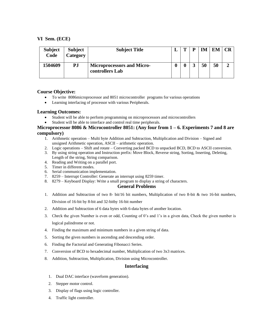| <b>Subject</b><br>Code | <b>Subject</b><br>Category | <b>Subject Title</b>                                 | m | IМ | EM | - CR |
|------------------------|----------------------------|------------------------------------------------------|---|----|----|------|
| 1504609                | PJ                         | <b>Microprocessors and Micro-</b><br>controllers Lab |   | 50 | 50 |      |

# **Course Objective:**

- To write 8086microprocessor and 8051 microcontroller programs for various operations
- Learning interfacing of processor with various Peripherals.

# **Learning Outcomes:**

- Student will be able to perform programming on microprocessors and microcontrollers
- Student will be able to interface and control real time peripherals.

# **Microprocessor 8086 & Microcontroller 8051: (Any four from 1 – 6. Experiments 7 and 8 are compulsory)**

- 1. Arithmetic operation Multi byte Addition and Subtraction, Multiplication and Division Signed and unsigned Arithmetic operation, ASCII – arithmetic operation.
- 2. Logic operations Shift and rotate Converting packed BCD to unpacked BCD, BCD to ASCII conversion.
- 3. By using string operation and Instruction prefix: Move Block, Reverse string, Sorting, Inserting, Deleting, Length of the string, String comparison.
- 4. Reading and Writing on a parallel port.
- 5. Timer in different modes.
- 6. Serial communication implementation.
- 7. 8259 Interrupt Controller: Generate an interrupt using 8259 timer.
- 8. 8279 Keyboard Display: Write a small program to display a string of characters.

# **General Problems**

- 1. Addition and Subtraction of two 8- bit/16 bit numbers, Multiplication of two 8-bit & two 16-bit numbers, Division of 16-bit by 8-bit and 32-bitby 16-bit number
- 2. Addition and Subtraction of 6 data bytes with 6-data bytes of another location.
- 3. Check the given Number is even or odd, Counting of 0's and 1's in a given data, Check the given number is logical palindrome or not.
- 4. Finding the maximum and minimum numbers in a given string of data.
- 5. Sorting the given numbers in ascending and descending order.
- 6. Finding the Factorial and Generating Fibonacci Series.
- 7. Conversion of BCD to hexadecimal number, Multiplication of two 3x3 matrices.
- 8. Addition, Subtraction, Multiplication, Division using Microcontroller.

# **Interfacing**

- 1. Dual DAC interface (waveform generation).
- 2. Stepper motor control.
- 3. Display of flags using logic controller.
- 4. Traffic light controller.